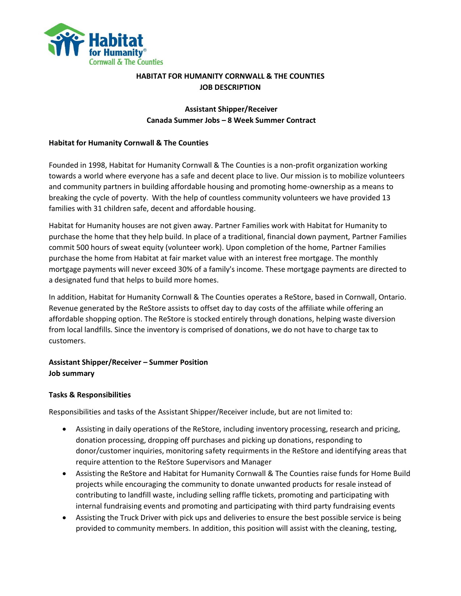

## **HABITAT FOR HUMANITY CORNWALL & THE COUNTIES JOB DESCRIPTION**

## **Assistant Shipper/Receiver Canada Summer Jobs – 8 Week Summer Contract**

### **Habitat for Humanity Cornwall & The Counties**

Founded in 1998, Habitat for Humanity Cornwall & The Counties is a non-profit organization working towards a world where everyone has a safe and decent place to live. Our mission is to mobilize volunteers and community partners in building affordable housing and promoting home-ownership as a means to breaking the cycle of poverty. With the help of countless community volunteers we have provided 13 families with 31 children safe, decent and affordable housing.

Habitat for Humanity houses are not given away. Partner Families work with Habitat for Humanity to purchase the home that they help build. In place of a traditional, financial down payment, Partner Families commit 500 hours of sweat equity (volunteer work). Upon completion of the home, Partner Families purchase the home from Habitat at fair market value with an interest free mortgage. The monthly mortgage payments will never exceed 30% of a family's income. These mortgage payments are directed to a designated fund that helps to build more homes.

In addition, Habitat for Humanity Cornwall & The Counties operates a ReStore, based in Cornwall, Ontario. Revenue generated by the ReStore assists to offset day to day costs of the affiliate while offering an affordable shopping option. The ReStore is stocked entirely through donations, helping waste diversion from local landfills. Since the inventory is comprised of donations, we do not have to charge tax to customers.

# **Assistant Shipper/Receiver – Summer Position Job summary**

### **Tasks & Responsibilities**

Responsibilities and tasks of the Assistant Shipper/Receiver include, but are not limited to:

- Assisting in daily operations of the ReStore, including inventory processing, research and pricing, donation processing, dropping off purchases and picking up donations, responding to donor/customer inquiries, monitoring safety requirments in the ReStore and identifying areas that require attention to the ReStore Supervisors and Manager
- Assisting the ReStore and Habitat for Humanity Cornwall & The Counties raise funds for Home Build projects while encouraging the community to donate unwanted products for resale instead of contributing to landfill waste, including selling raffle tickets, promoting and participating with internal fundraising events and promoting and participating with third party fundraising events
- Assisting the Truck Driver with pick ups and deliveries to ensure the best possible service is being provided to community members. In addition, this position will assist with the cleaning, testing,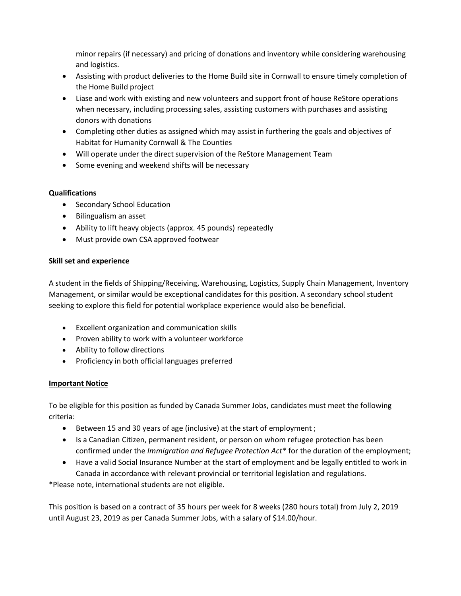minor repairs (if necessary) and pricing of donations and inventory while considering warehousing and logistics.

- Assisting with product deliveries to the Home Build site in Cornwall to ensure timely completion of the Home Build project
- Liase and work with existing and new volunteers and support front of house ReStore operations when necessary, including processing sales, assisting customers with purchases and assisting donors with donations
- Completing other duties as assigned which may assist in furthering the goals and objectives of Habitat for Humanity Cornwall & The Counties
- Will operate under the direct supervision of the ReStore Management Team
- Some evening and weekend shifts will be necessary

### **Qualifications**

- **•** Secondary School Education
- Bilingualism an asset
- Ability to lift heavy objects (approx. 45 pounds) repeatedly
- Must provide own CSA approved footwear

#### **Skill set and experience**

A student in the fields of Shipping/Receiving, Warehousing, Logistics, Supply Chain Management, Inventory Management, or similar would be exceptional candidates for this position. A secondary school student seeking to explore this field for potential workplace experience would also be beneficial.

- Excellent organization and communication skills
- Proven ability to work with a volunteer workforce
- Ability to follow directions
- Proficiency in both official languages preferred

### **Important Notice**

To be eligible for this position as funded by Canada Summer Jobs, candidates must meet the following criteria:

- Between 15 and 30 years of age (inclusive) at the start of employment ;
- Is a Canadian Citizen, permanent resident, or person on whom refugee protection has been confirmed under the *Immigration and Refugee Protection Act\** for the duration of the employment;
- Have a valid Social Insurance Number at the start of employment and be legally entitled to work in Canada in accordance with relevant provincial or territorial legislation and regulations.

\*Please note, international students are not eligible.

This position is based on a contract of 35 hours per week for 8 weeks (280 hours total) from July 2, 2019 until August 23, 2019 as per Canada Summer Jobs, with a salary of \$14.00/hour.